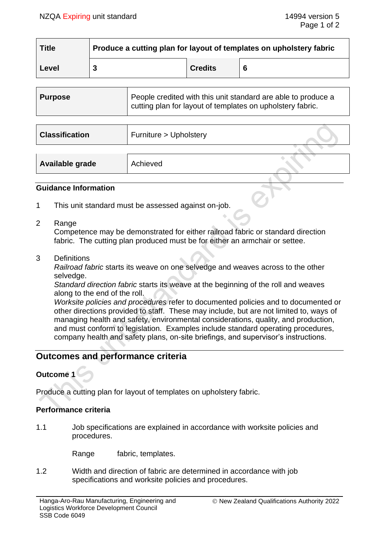| <b>Title</b> | Produce a cutting plan for layout of templates on upholstery fabric |                |   |
|--------------|---------------------------------------------------------------------|----------------|---|
| Level        |                                                                     | <b>Credits</b> | 6 |

| Purpose | People credited with this unit standard are able to produce a<br>cutting plan for layout of templates on upholstery fabric. |
|---------|-----------------------------------------------------------------------------------------------------------------------------|
|         |                                                                                                                             |

| <b>Classification</b> | Furniture > Upholstery |  |
|-----------------------|------------------------|--|
|                       |                        |  |
| Available grade       | Achieved               |  |

### **Guidance Information**

- 1 This unit standard must be assessed against on-job.
- 2 Range

Competence may be demonstrated for either railroad fabric or standard direction fabric. The cutting plan produced must be for either an armchair or settee.

3 Definitions

*Railroad fabric* starts its weave on one selvedge and weaves across to the other selvedge.

*Standard direction fabric* starts its weave at the beginning of the roll and weaves along to the end of the roll.

*Worksite policies and procedures* refer to documented policies and to documented or other directions provided to staff. These may include, but are not limited to, ways of managing health and safety, environmental considerations, quality, and production, and must conform to legislation. Examples include standard operating procedures, company health and safety plans, on-site briefings, and supervisor's instructions.

# **Outcomes and performance criteria**

## **Outcome 1**

Produce a cutting plan for layout of templates on upholstery fabric.

### **Performance criteria**

1.1 Job specifications are explained in accordance with worksite policies and procedures.

Range fabric, templates.

1.2 Width and direction of fabric are determined in accordance with job specifications and worksite policies and procedures.